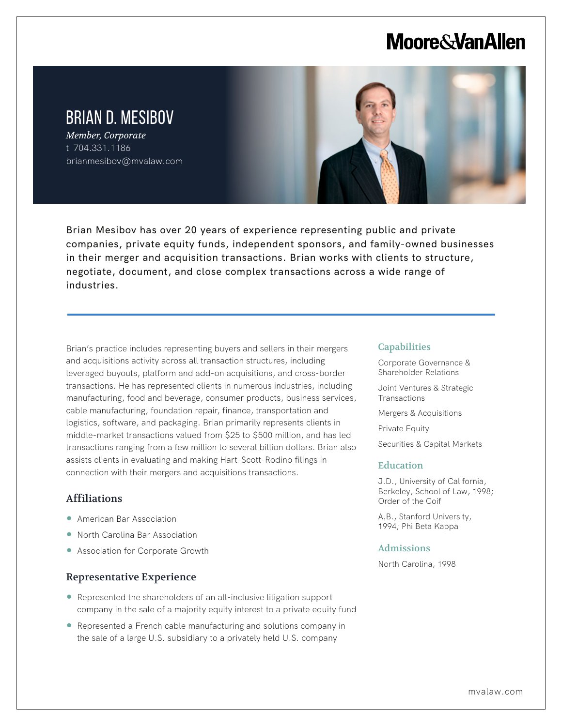# **Moore & Van Allen**

# BRIAN D. MESIBOV

*Member, Corporate* t 704.331.1186 brianmesibov@mvalaw.com



Brian Mesibov has over 20 years of experience representing public and private companies, private equity funds, independent sponsors, and family-owned businesses in their merger and acquisition transactions. Brian works with clients to structure, negotiate, document, and close complex transactions across a wide range of industries.

Brian's practice includes representing buyers and sellers in their mergers and acquisitions activity across all transaction structures, including leveraged buyouts, platform and add-on acquisitions, and cross-border transactions. He has represented clients in numerous industries, including manufacturing, food and beverage, consumer products, business services, cable manufacturing, foundation repair, finance, transportation and logistics, software, and packaging. Brian primarily represents clients in middle-market transactions valued from \$25 to \$500 million, and has led transactions ranging from a few million to several billion dollars. Brian also assists clients in evaluating and making Hart-Scott-Rodino filings in connection with their mergers and acquisitions transactions.

# Affiliations

l,

- American Bar Association
- North Carolina Bar Association
- Association for Corporate Growth

## Representative Experience

- Represented the shareholders of an all-inclusive litigation support company in the sale of a majority equity interest to a private equity fund
- Represented a French cable manufacturing and solutions company in the sale of a large U.S. subsidiary to a privately held U.S. company

#### **Capabilities**

Corporate Governance & Shareholder Relations

Joint Ventures & Strategic **Transactions** 

Mergers & Acquisitions

Private Equity

Securities & Capital Markets

### Education

J.D., University of California, Berkeley, School of Law, 1998; Order of the Coif

A.B., Stanford University, 1994; Phi Beta Kappa

#### Admissions

North Carolina, 1998